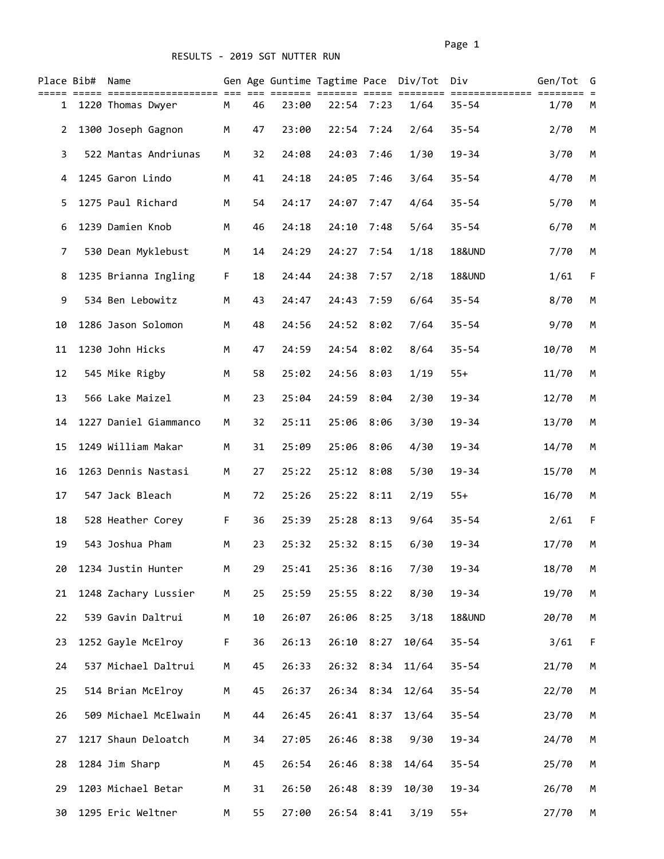## RESULTS - 2019 SGT NUTTER RUN

| Place Bib#   | Name                  |    |    |       |       |            | Gen Age Guntime Tagtime Pace Div/Tot | Div               | Gen/Tot | G |
|--------------|-----------------------|----|----|-------|-------|------------|--------------------------------------|-------------------|---------|---|
| $\mathbf{1}$ | 1220 Thomas Dwyer     | M  | 46 | 23:00 |       | 22:54 7:23 | 1/64                                 | $35 - 54$         | 1/70    | М |
| 2            | 1300 Joseph Gagnon    | M  | 47 | 23:00 | 22:54 | 7:24       | 2/64                                 | $35 - 54$         | 2/70    | M |
| 3            | 522 Mantas Andriunas  | М  | 32 | 24:08 | 24:03 | 7:46       | 1/30                                 | $19 - 34$         | 3/70    | M |
| 4            | 1245 Garon Lindo      | М  | 41 | 24:18 | 24:05 | 7:46       | 3/64                                 | $35 - 54$         | 4/70    | М |
| 5            | 1275 Paul Richard     | M  | 54 | 24:17 | 24:07 | 7:47       | 4/64                                 | $35 - 54$         | 5/70    | М |
| 6            | 1239 Damien Knob      | M  | 46 | 24:18 | 24:10 | 7:48       | 5/64                                 | $35 - 54$         | 6/70    | М |
| 7            | 530 Dean Myklebust    | М  | 14 | 24:29 | 24:27 | 7:54       | 1/18                                 | <b>18&amp;UND</b> | 7/70    | M |
| 8            | 1235 Brianna Ingling  | F. | 18 | 24:44 | 24:38 | 7:57       | 2/18                                 | <b>18&amp;UND</b> | 1/61    | F |
| 9            | 534 Ben Lebowitz      | M  | 43 | 24:47 | 24:43 | 7:59       | 6/64                                 | $35 - 54$         | 8/70    | M |
| 10           | 1286 Jason Solomon    | M  | 48 | 24:56 |       | 24:52 8:02 | 7/64                                 | $35 - 54$         | 9/70    | M |
| 11           | 1230 John Hicks       | M  | 47 | 24:59 | 24:54 | 8:02       | 8/64                                 | $35 - 54$         | 10/70   | M |
| 12           | 545 Mike Rigby        | M  | 58 | 25:02 | 24:56 | 8:03       | 1/19                                 | $55+$             | 11/70   | M |
| 13           | 566 Lake Maizel       | M  | 23 | 25:04 | 24:59 | 8:04       | 2/30                                 | $19 - 34$         | 12/70   | М |
| 14           | 1227 Daniel Giammanco | М  | 32 | 25:11 | 25:06 | 8:06       | 3/30                                 | $19 - 34$         | 13/70   | М |
| 15           | 1249 William Makar    | М  | 31 | 25:09 | 25:06 | 8:06       | 4/30                                 | $19 - 34$         | 14/70   | M |
| 16           | 1263 Dennis Nastasi   | М  | 27 | 25:22 | 25:12 | 8:08       | 5/30                                 | $19 - 34$         | 15/70   | M |
| 17           | 547 Jack Bleach       | M  | 72 | 25:26 | 25:22 | 8:11       | 2/19                                 | $55+$             | 16/70   | М |
| 18           | 528 Heather Corey     | F. | 36 | 25:39 | 25:28 | 8:13       | 9/64                                 | $35 - 54$         | 2/61    | F |
| 19           | 543 Joshua Pham       | M  | 23 | 25:32 | 25:32 | 8:15       | 6/30                                 | $19 - 34$         | 17/70   | M |
| 20           | 1234 Justin Hunter    | M  | 29 | 25:41 |       | 25:36 8:16 | 7/30                                 | $19 - 34$         | 18/70   | М |
| 21           | 1248 Zachary Lussier  | M  | 25 | 25:59 | 25:55 | 8:22       | 8/30                                 | $19 - 34$         | 19/70   | M |
| 22           | 539 Gavin Daltrui     | М  | 10 | 26:07 |       | 26:06 8:25 | 3/18                                 | <b>18&amp;UND</b> | 20/70   | М |
| 23           | 1252 Gayle McElroy    | F. | 36 | 26:13 |       | 26:10 8:27 | 10/64                                | $35 - 54$         | 3/61    | F |
| 24           | 537 Michael Daltrui   | М  | 45 | 26:33 |       | 26:32 8:34 | 11/64                                | $35 - 54$         | 21/70   | М |
| 25           | 514 Brian McElroy     | М  | 45 | 26:37 |       | 26:34 8:34 | 12/64                                | $35 - 54$         | 22/70   | М |
| 26           | 509 Michael McElwain  | М  | 44 | 26:45 |       | 26:41 8:37 | 13/64                                | $35 - 54$         | 23/70   | М |
| 27           | 1217 Shaun Deloatch   | М  | 34 | 27:05 |       | 26:46 8:38 | 9/30                                 | $19 - 34$         | 24/70   | М |
| 28           | 1284 Jim Sharp        | M  | 45 | 26:54 | 26:46 | 8:38       | 14/64                                | $35 - 54$         | 25/70   | М |
| 29           | 1203 Michael Betar    | M  | 31 | 26:50 |       | 26:48 8:39 | 10/30                                | 19-34             | 26/70   | М |
| 30           | 1295 Eric Weltner     | М  | 55 | 27:00 |       | 26:54 8:41 | 3/19                                 | $55+$             | 27/70   | М |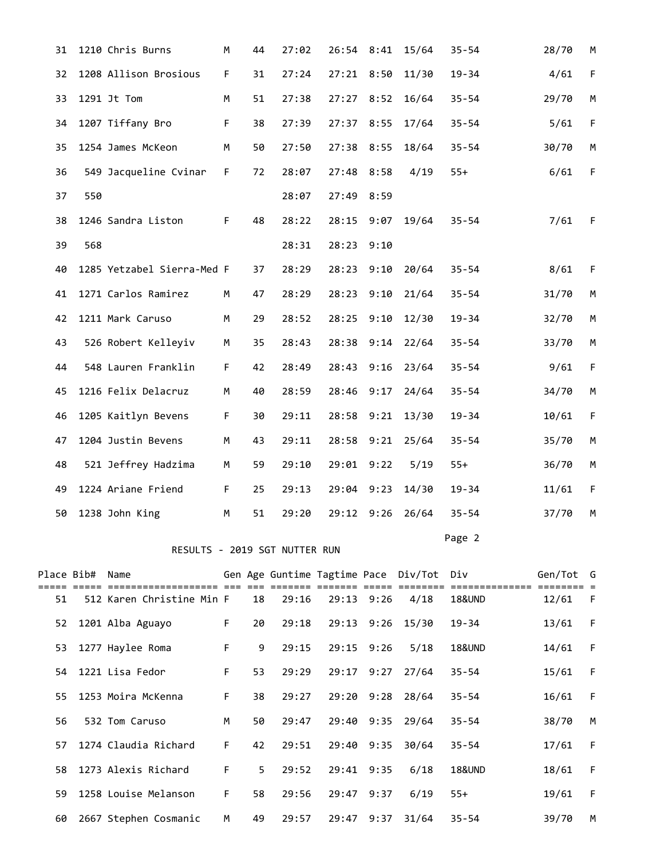| 31 |                 | 1210 Chris Burns              | M           | 44 | 27:02 | 26:54 8:41     |      | 15/64                                    | $35 - 54$         | 28/70     | М           |
|----|-----------------|-------------------------------|-------------|----|-------|----------------|------|------------------------------------------|-------------------|-----------|-------------|
| 32 |                 | 1208 Allison Brosious         | F           | 31 | 27:24 | 27:21          | 8:50 | 11/30                                    | $19 - 34$         | 4/61      | $\mathsf F$ |
| 33 |                 | 1291 Jt Tom                   | M           | 51 | 27:38 | 27:27          | 8:52 | 16/64                                    | $35 - 54$         | 29/70     | M           |
| 34 |                 | 1207 Tiffany Bro              | $\mathsf F$ | 38 | 27:39 | 27:37          | 8:55 | 17/64                                    | $35 - 54$         | 5/61      | F           |
| 35 |                 | 1254 James McKeon             | M           | 50 | 27:50 | 27:38          | 8:55 | 18/64                                    | $35 - 54$         | 30/70     | M           |
| 36 |                 | 549 Jacqueline Cvinar         | F.          | 72 | 28:07 | 27:48          | 8:58 | 4/19                                     | $55+$             | 6/61      | $\mathsf F$ |
| 37 | 550             |                               |             |    | 28:07 | 27:49          | 8:59 |                                          |                   |           |             |
| 38 |                 | 1246 Sandra Liston            | F           | 48 | 28:22 | 28:15          | 9:07 | 19/64                                    | $35 - 54$         | 7/61      | F           |
| 39 | 568             |                               |             |    | 28:31 | 28:23          | 9:10 |                                          |                   |           |             |
| 40 |                 | 1285 Yetzabel Sierra-Med F    |             | 37 | 28:29 | 28:23          | 9:10 | 20/64                                    | $35 - 54$         | 8/61      | F           |
| 41 |                 | 1271 Carlos Ramirez           | M           | 47 | 28:29 | 28:23          | 9:10 | 21/64                                    | $35 - 54$         | 31/70     | M           |
| 42 |                 | 1211 Mark Caruso              | M           | 29 | 28:52 | 28:25          | 9:10 | 12/30                                    | $19 - 34$         | 32/70     | M           |
| 43 |                 | 526 Robert Kelleyiv           | M           | 35 | 28:43 | 28:38          | 9:14 | 22/64                                    | $35 - 54$         | 33/70     | M           |
| 44 |                 | 548 Lauren Franklin           | F           | 42 | 28:49 | 28:43          | 9:16 | 23/64                                    | $35 - 54$         | 9/61      | F           |
| 45 |                 | 1216 Felix Delacruz           | M           | 40 | 28:59 | 28:46          | 9:17 | 24/64                                    | $35 - 54$         | 34/70     | M           |
| 46 |                 | 1205 Kaitlyn Bevens           | F           | 30 | 29:11 | 28:58          | 9:21 | 13/30                                    | $19 - 34$         | 10/61     | F           |
| 47 |                 | 1204 Justin Bevens            | M           | 43 | 29:11 | 28:58          | 9:21 | 25/64                                    | $35 - 54$         | 35/70     | M           |
| 48 |                 | 521 Jeffrey Hadzima           | M           | 59 | 29:10 | 29:01          | 9:22 | 5/19                                     | $55+$             | 36/70     | M           |
| 49 |                 | 1224 Ariane Friend            | F           | 25 | 29:13 | 29:04          | 9:23 | 14/30                                    | $19 - 34$         | 11/61     | $\mathsf F$ |
| 50 |                 | 1238 John King                | M           | 51 | 29:20 | 29:12          | 9:26 | 26/64                                    | $35 - 54$         | 37/70     | M           |
|    |                 | RESULTS - 2019 SGT NUTTER RUN |             |    |       |                |      |                                          | Page 2            |           |             |
|    | Place Bib# Name |                               |             |    |       |                |      |                                          |                   | Gen/Tot G |             |
|    |                 |                               |             |    |       |                |      | Gen Age Guntime Tagtime Pace Div/Tot Div |                   |           |             |
| 51 |                 | 512 Karen Christine Min F     |             | 18 | 29:16 | $29:13$ $9:26$ |      | 4/18                                     | <b>18&amp;UND</b> | 12/61     | F           |
| 52 |                 | 1201 Alba Aguayo              | F           | 20 | 29:18 |                |      | 29:13 9:26 15/30                         | 19-34             | 13/61     | F           |

|     | 53 1277 Haylee Roma   | F. | 9  | 29:15 | $29:15$ $9:26$ |      | 5/18             | <b>18&amp;UND</b> | 14/61 | - F |
|-----|-----------------------|----|----|-------|----------------|------|------------------|-------------------|-------|-----|
|     | 54 1221 Lisa Fedor    | F. | 53 | 29:29 | 29:17          | 9:27 | 27/64            | $35 - 54$         | 15/61 | -F  |
|     | 55 1253 Moira McKenna | F. | 38 | 29:27 |                |      | 29:20 9:28 28/64 | $35 - 54$         | 16/61 | F   |
| 56  | 532 Tom Caruso        | M  | 50 | 29:47 | 29:40          | 9:35 | 29/64            | $35 - 54$         | 38/70 | м   |
| 57  | 1274 Claudia Richard  | F. | 42 | 29:51 | 29:40          | 9:35 | 30/64            | $35 - 54$         | 17/61 | F   |
| 58. | 1273 Alexis Richard   | F. | 5  | 29:52 | 29:41          | 9:35 | 6/18             | <b>18&amp;UND</b> | 18/61 | -F  |
| 59. | 1258 Louise Melanson  | F. | 58 | 29:56 | 29:47          | 9:37 | 6/19             | $55+$             | 19/61 | F   |
| 60  | 2667 Stephen Cosmanic | M  | 49 | 29:57 | 29:47          | 9:37 | 31/64            | $35 - 54$         | 39/70 | M   |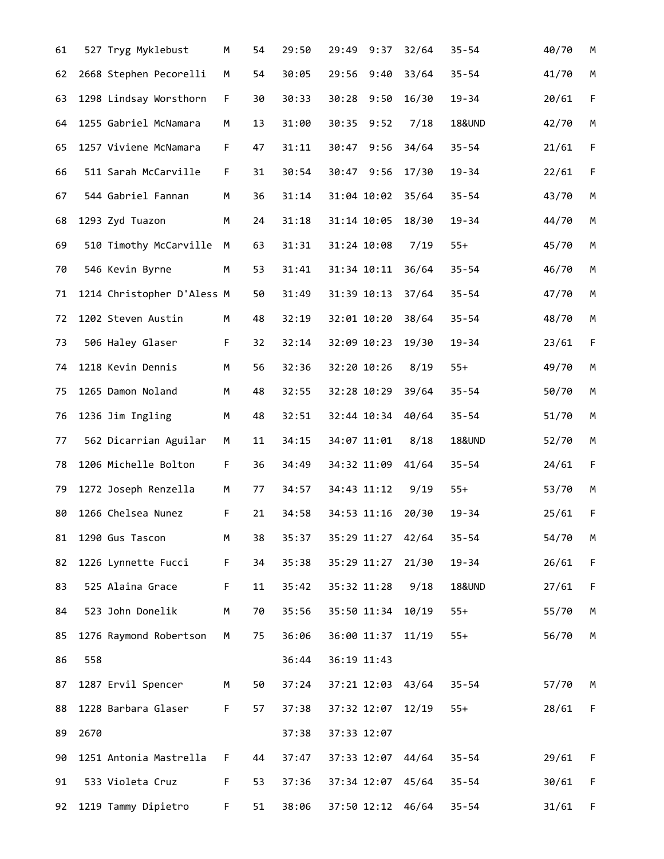| 61 |      | 527 Tryg Myklebust         | М  | 54 | 29:50 | 29:49             | 9:37 | 32/64 | $35 - 54$         | 40/70 | М           |
|----|------|----------------------------|----|----|-------|-------------------|------|-------|-------------------|-------|-------------|
| 62 |      | 2668 Stephen Pecorelli     | М  | 54 | 30:05 | 29:56             | 9:40 | 33/64 | $35 - 54$         | 41/70 | M           |
| 63 |      | 1298 Lindsay Worsthorn     | F  | 30 | 30:33 | 30:28             | 9:50 | 16/30 | $19 - 34$         | 20/61 | F           |
| 64 |      | 1255 Gabriel McNamara      | M  | 13 | 31:00 | 30:35             | 9:52 | 7/18  | <b>18&amp;UND</b> | 42/70 | M           |
| 65 |      | 1257 Viviene McNamara      | F  | 47 | 31:11 | 30:47             | 9:56 | 34/64 | $35 - 54$         | 21/61 | $\mathsf F$ |
| 66 |      | 511 Sarah McCarville       | F. | 31 | 30:54 | 30:47             | 9:56 | 17/30 | $19 - 34$         | 22/61 | F           |
| 67 |      | 544 Gabriel Fannan         | М  | 36 | 31:14 | 31:04 10:02       |      | 35/64 | $35 - 54$         | 43/70 | M           |
| 68 |      | 1293 Zyd Tuazon            | М  | 24 | 31:18 | 31:14 10:05       |      | 18/30 | $19 - 34$         | 44/70 | М           |
| 69 |      | 510 Timothy McCarville     | M  | 63 | 31:31 | 31:24 10:08       |      | 7/19  | $55+$             | 45/70 | M           |
| 70 |      | 546 Kevin Byrne            | М  | 53 | 31:41 | 31:34 10:11       |      | 36/64 | $35 - 54$         | 46/70 | M           |
| 71 |      | 1214 Christopher D'Aless M |    | 50 | 31:49 | 31:39 10:13       |      | 37/64 | $35 - 54$         | 47/70 | M           |
| 72 |      | 1202 Steven Austin         | M  | 48 | 32:19 | 32:01 10:20       |      | 38/64 | $35 - 54$         | 48/70 | M           |
| 73 |      | 506 Haley Glaser           | F  | 32 | 32:14 | 32:09 10:23       |      | 19/30 | $19 - 34$         | 23/61 | F           |
| 74 |      | 1218 Kevin Dennis          | M  | 56 | 32:36 | 32:20 10:26       |      | 8/19  | $55+$             | 49/70 | M           |
| 75 |      | 1265 Damon Noland          | M  | 48 | 32:55 | 32:28 10:29       |      | 39/64 | $35 - 54$         | 50/70 | M           |
| 76 |      | 1236 Jim Ingling           | M  | 48 | 32:51 | 32:44 10:34       |      | 40/64 | $35 - 54$         | 51/70 | М           |
| 77 |      | 562 Dicarrian Aguilar      | М  | 11 | 34:15 | 34:07 11:01       |      | 8/18  | <b>18&amp;UND</b> | 52/70 | M           |
| 78 |      | 1206 Michelle Bolton       | F. | 36 | 34:49 | 34:32 11:09       |      | 41/64 | $35 - 54$         | 24/61 | F           |
| 79 |      | 1272 Joseph Renzella       | M  | 77 | 34:57 | 34:43 11:12       |      | 9/19  | $55+$             | 53/70 | M           |
| 80 |      | 1266 Chelsea Nunez         | F  | 21 | 34:58 | 34:53 11:16       |      | 20/30 | $19 - 34$         | 25/61 | $\mathsf F$ |
| 81 |      | 1290 Gus Tascon            | М  | 38 | 35:37 | 35:29 11:27       |      | 42/64 | $35 - 54$         | 54/70 | М           |
| 82 |      | 1226 Lynnette Fucci        | F. | 34 | 35:38 | 35:29 11:27       |      | 21/30 | $19 - 34$         | 26/61 | F           |
| 83 |      | 525 Alaina Grace           | F. | 11 | 35:42 | 35:32 11:28       |      | 9/18  | <b>18&amp;UND</b> | 27/61 | F           |
| 84 |      | 523 John Donelik           | M  | 70 | 35:56 | 35:50 11:34       |      | 10/19 | $55+$             | 55/70 | М           |
| 85 |      | 1276 Raymond Robertson     | M  | 75 | 36:06 | 36:00 11:37       |      | 11/19 | $55+$             | 56/70 | M           |
| 86 | 558  |                            |    |    | 36:44 | 36:19 11:43       |      |       |                   |       |             |
| 87 |      | 1287 Ervil Spencer         | M  | 50 | 37:24 | 37:21 12:03 43/64 |      |       | $35 - 54$         | 57/70 | М           |
| 88 |      | 1228 Barbara Glaser        | F. | 57 | 37:38 | 37:32 12:07 12/19 |      |       | $55+$             | 28/61 | F           |
| 89 | 2670 |                            |    |    | 37:38 | 37:33 12:07       |      |       |                   |       |             |
| 90 |      | 1251 Antonia Mastrella     | F. | 44 | 37:47 | 37:33 12:07 44/64 |      |       | $35 - 54$         | 29/61 | F           |
| 91 |      | 533 Violeta Cruz           | F. | 53 | 37:36 | 37:34 12:07 45/64 |      |       | $35 - 54$         | 30/61 | F           |
| 92 |      | 1219 Tammy Dipietro        | F. | 51 | 38:06 | 37:50 12:12       |      | 46/64 | $35 - 54$         | 31/61 | F           |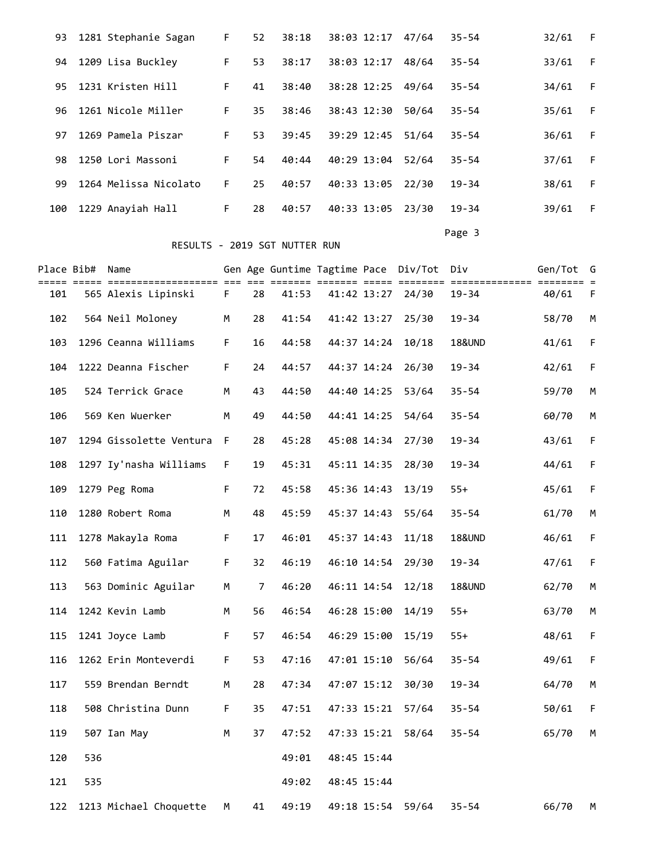|     | 93 1281 Stephanie Sagan | F. | 52 | 38:18 | 38:03 12:17 | 47/64 | $35 - 54$ | 32/61 | - F |
|-----|-------------------------|----|----|-------|-------------|-------|-----------|-------|-----|
| 94  | 1209 Lisa Buckley       | F. | 53 | 38:17 | 38:03 12:17 | 48/64 | $35 - 54$ | 33/61 | -F  |
| 95. | 1231 Kristen Hill       | F. | 41 | 38:40 | 38:28 12:25 | 49/64 | $35 - 54$ | 34/61 | - F |
| 96. | 1261 Nicole Miller      | F. | 35 | 38:46 | 38:43 12:30 | 50/64 | $35 - 54$ | 35/61 | F   |
| 97  | 1269 Pamela Piszar      | F. | 53 | 39:45 | 39:29 12:45 | 51/64 | $35 - 54$ | 36/61 | - F |
| 98. | 1250 Lori Massoni       | F. | 54 | 40:44 | 40:29 13:04 | 52/64 | $35 - 54$ | 37/61 | -F  |
| 99  | 1264 Melissa Nicolato   | F. | 25 | 40:57 | 40:33 13:05 | 22/30 | $19 - 34$ | 38/61 | F   |
| 100 | 1229 Anayiah Hall       | F. | 28 | 40:57 | 40:33 13:05 | 23/30 | $19 - 34$ | 39/61 | F   |
|     |                         |    |    |       |             |       |           |       |     |

## RESULTS - 2019 SGT NUTTER RUN

Page 3 and 2012 and 2012 and 2012 and 2012 and 2012 and 2012 and 2012 and 2012 and 2012 and 2012 and 2012 and

| Place Bib# |     | Name<br>== ==           |             |    | Gen Age Guntime Tagtime Pace Div/Tot | === ====<br>=== =: |             |       | Div<br>==== ======== =============== ==== | Gen/Tot | G           |
|------------|-----|-------------------------|-------------|----|--------------------------------------|--------------------|-------------|-------|-------------------------------------------|---------|-------------|
| 101        |     | 565 Alexis Lipinski     | F           | 28 | 41:53                                |                    | 41:42 13:27 | 24/30 | 19-34                                     | 40/61   | F           |
| 102        |     | 564 Neil Moloney        | М           | 28 | 41:54                                |                    | 41:42 13:27 | 25/30 | 19-34                                     | 58/70   | М           |
| 103        |     | 1296 Ceanna Williams    | F.          | 16 | 44:58                                |                    | 44:37 14:24 | 10/18 | <b>18&amp;UND</b>                         | 41/61   | $\mathsf F$ |
| 104        |     | 1222 Deanna Fischer     | F.          | 24 | 44:57                                |                    | 44:37 14:24 | 26/30 | $19 - 34$                                 | 42/61   | F           |
| 105        |     | 524 Terrick Grace       | м           | 43 | 44:50                                |                    | 44:40 14:25 | 53/64 | $35 - 54$                                 | 59/70   | М           |
| 106        |     | 569 Ken Wuerker         | M           | 49 | 44:50                                |                    | 44:41 14:25 | 54/64 | $35 - 54$                                 | 60/70   | М           |
| 107        |     | 1294 Gissolette Ventura | F           | 28 | 45:28                                |                    | 45:08 14:34 | 27/30 | 19-34                                     | 43/61   | $\mathsf F$ |
| 108        |     | 1297 Iy'nasha Williams  | F.          | 19 | 45:31                                |                    | 45:11 14:35 | 28/30 | $19 - 34$                                 | 44/61   | $\mathsf F$ |
| 109        |     | 1279 Peg Roma           | $\mathsf F$ | 72 | 45:58                                |                    | 45:36 14:43 | 13/19 | $55+$                                     | 45/61   | $\mathsf F$ |
| 110        |     | 1280 Robert Roma        | М           | 48 | 45:59                                |                    | 45:37 14:43 | 55/64 | $35 - 54$                                 | 61/70   | М           |
| 111        |     | 1278 Makayla Roma       | F.          | 17 | 46:01                                |                    | 45:37 14:43 | 11/18 | <b>18&amp;UND</b>                         | 46/61   | F           |
| 112        |     | 560 Fatima Aguilar      | $\mathsf F$ | 32 | 46:19                                |                    | 46:10 14:54 | 29/30 | $19 - 34$                                 | 47/61   | F           |
| 113        |     | 563 Dominic Aguilar     | М           | 7  | 46:20                                |                    | 46:11 14:54 | 12/18 | <b>18&amp;UND</b>                         | 62/70   | М           |
| 114        |     | 1242 Kevin Lamb         | М           | 56 | 46:54                                |                    | 46:28 15:00 | 14/19 | $55+$                                     | 63/70   | М           |
| 115        |     | 1241 Joyce Lamb         | F           | 57 | 46:54                                |                    | 46:29 15:00 | 15/19 | $55+$                                     | 48/61   | $\mathsf F$ |
| 116        |     | 1262 Erin Monteverdi    | F           | 53 | 47:16                                |                    | 47:01 15:10 | 56/64 | $35 - 54$                                 | 49/61   | $\mathsf F$ |
| 117        |     | 559 Brendan Berndt      | М           | 28 | 47:34                                |                    | 47:07 15:12 | 30/30 | $19 - 34$                                 | 64/70   | М           |
| 118        |     | 508 Christina Dunn      | F           | 35 | 47:51                                |                    | 47:33 15:21 | 57/64 | 35-54                                     | 50/61   | F           |
| 119        |     | 507 Ian May             | M           | 37 | 47:52                                |                    | 47:33 15:21 | 58/64 | $35 - 54$                                 | 65/70   | М           |
| 120        | 536 |                         |             |    | 49:01                                |                    | 48:45 15:44 |       |                                           |         |             |
| 121        | 535 |                         |             |    | 49:02                                |                    | 48:45 15:44 |       |                                           |         |             |
| 122        |     | 1213 Michael Choquette  | M           | 41 | 49:19                                |                    | 49:18 15:54 | 59/64 | $35 - 54$                                 | 66/70   | М           |